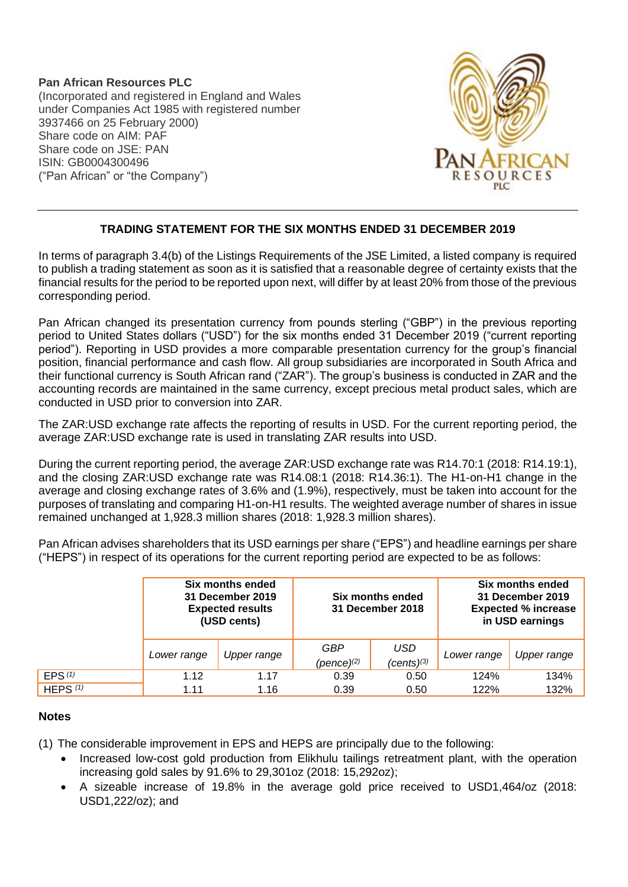**Pan African Resources PLC** (Incorporated and registered in England and Wales under Companies Act 1985 with registered number 3937466 on 25 February 2000) Share code on AIM: PAF Share code on JSE: PAN ISIN: GB0004300496 ("Pan African" or "the Company")



## **TRADING STATEMENT FOR THE SIX MONTHS ENDED 31 DECEMBER 2019**

In terms of paragraph 3.4(b) of the Listings Requirements of the JSE Limited, a listed company is required to publish a trading statement as soon as it is satisfied that a reasonable degree of certainty exists that the financial results for the period to be reported upon next, will differ by at least 20% from those of the previous corresponding period.

Pan African changed its presentation currency from pounds sterling ("GBP") in the previous reporting period to United States dollars ("USD") for the six months ended 31 December 2019 ("current reporting period"). Reporting in USD provides a more comparable presentation currency for the group's financial position, financial performance and cash flow. All group subsidiaries are incorporated in South Africa and their functional currency is South African rand ("ZAR"). The group's business is conducted in ZAR and the accounting records are maintained in the same currency, except precious metal product sales, which are conducted in USD prior to conversion into ZAR.

The ZAR:USD exchange rate affects the reporting of results in USD. For the current reporting period, the average ZAR:USD exchange rate is used in translating ZAR results into USD.

During the current reporting period, the average ZAR:USD exchange rate was R14.70:1 (2018: R14.19:1), and the closing ZAR:USD exchange rate was R14.08:1 (2018: R14.36:1). The H1-on-H1 change in the average and closing exchange rates of 3.6% and (1.9%), respectively, must be taken into account for the purposes of translating and comparing H1-on-H1 results. The weighted average number of shares in issue remained unchanged at 1,928.3 million shares (2018: 1,928.3 million shares).

Pan African advises shareholders that its USD earnings per share ("EPS") and headline earnings per share ("HEPS") in respect of its operations for the current reporting period are expected to be as follows:

|            | Six months ended<br>31 December 2019<br><b>Expected results</b><br>(USD cents) |             | Six months ended<br>31 December 2018 |                               | Six months ended<br>31 December 2019<br><b>Expected % increase</b><br>in USD earnings |             |
|------------|--------------------------------------------------------------------------------|-------------|--------------------------------------|-------------------------------|---------------------------------------------------------------------------------------|-------------|
|            | Lower range                                                                    | Upper range | GBP<br>$(\text{pence})^{(2)}$        | <b>USD</b><br>$(cents)^{(3)}$ | Lower range                                                                           | Upper range |
| EPS $(1)$  | 1.12                                                                           | 1.17        | 0.39                                 | 0.50                          | 124%                                                                                  | 134%        |
| HEPS $(1)$ | 1.11                                                                           | 1.16        | 0.39                                 | 0.50                          | 122%                                                                                  | 132%        |

## **Notes**

(1) The considerable improvement in EPS and HEPS are principally due to the following:

- Increased low-cost gold production from Elikhulu tailings retreatment plant, with the operation increasing gold sales by 91.6% to 29,301oz (2018: 15,292oz);
- A sizeable increase of 19.8% in the average gold price received to USD1,464/oz (2018: USD1,222/oz); and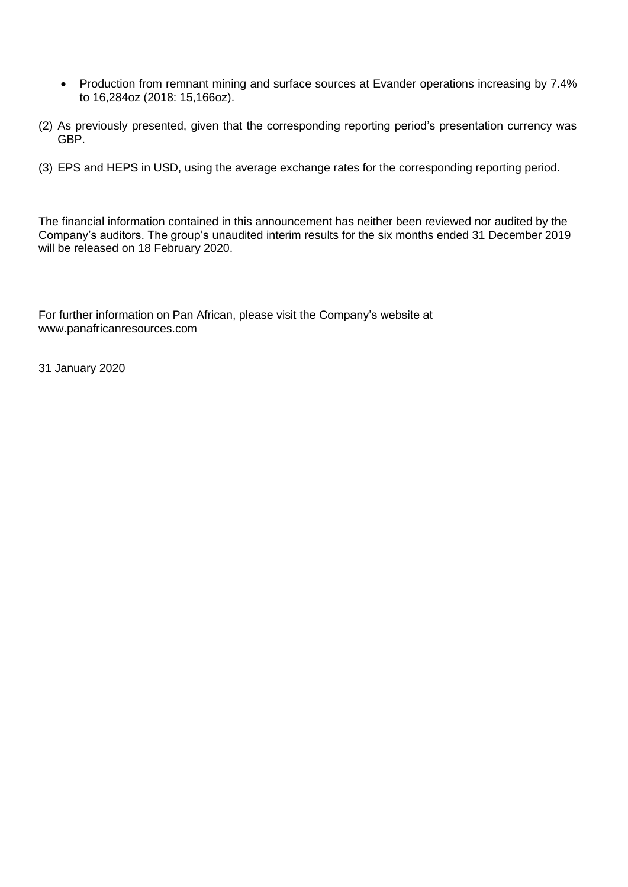- Production from remnant mining and surface sources at Evander operations increasing by 7.4% to 16,284oz (2018: 15,166oz).
- (2) As previously presented, given that the corresponding reporting period's presentation currency was GBP.
- (3) EPS and HEPS in USD, using the average exchange rates for the corresponding reporting period.

The financial information contained in this announcement has neither been reviewed nor audited by the Company's auditors. The group's unaudited interim results for the six months ended 31 December 2019 will be released on 18 February 2020.

For further information on Pan African, please visit the Company's website at www.panafricanresources.com

31 January 2020